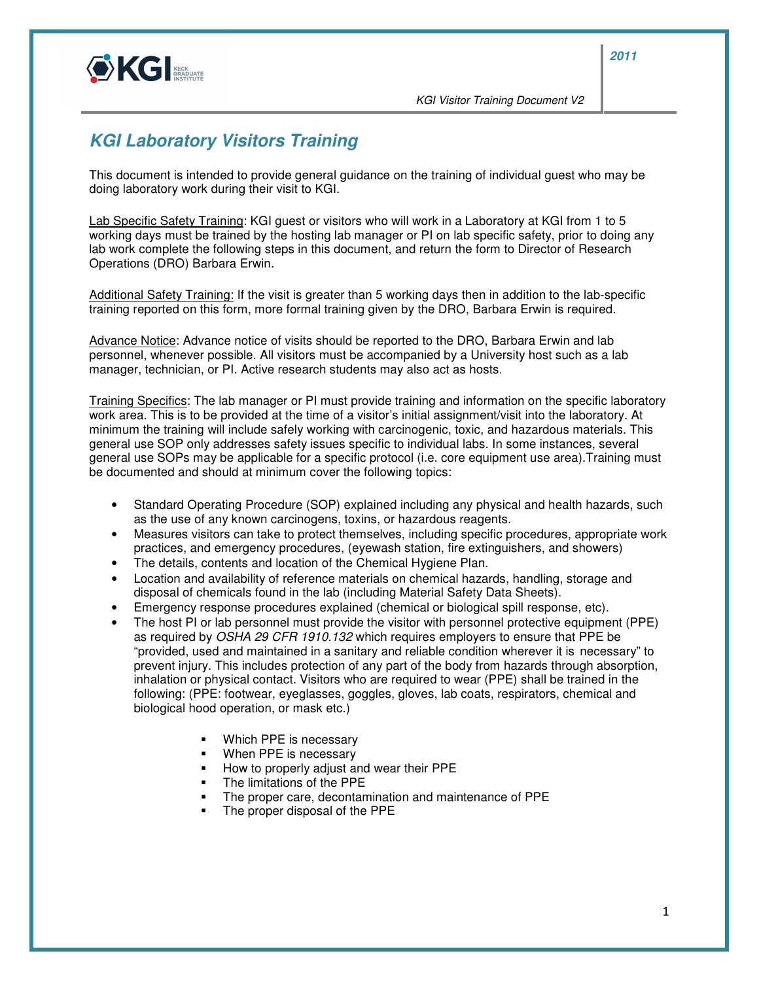

KGI Visitor Training Document V2

## **KGI Laboratory Visitors Training**

This document is intended to provide general guidance on the training of individual guest who may be doing laboratory work during their visit to KGI.

Lab Specific Safety Training: KGI guest or visitors who will work in a Laboratory at KGI from 1 to 5 working days must be trained by the hosting lab manager or PI on lab specific safety, prior to doing any lab work complete the following steps in this document, and return the form to Director of Research Operations (DRO) Barbara Erwin.

Additional Safety Training: If the visit is greater than 5 working days then in addition to the lab-specific training reported on this form, more formal training given by the DRO, Barbara Erwin is required.

Advance Notice: Advance notice of visits should be reported to the DRO, Barbara Erwin and lab personnel, whenever possible. All visitors must be accompanied by a University host such as a lab manager, technician, or PI. Active research students may also act as hosts.

Training Specifics: The lab manager or PI must provide training and information on the specific laboratory work area. This is to be provided at the time of a visitor's initial assignment/visit into the laboratory. At minimum the training will include safely working with carcinogenic, toxic, and hazardous materials. This general use SOP only addresses safety issues specific to individual labs. In some instances, several general use SOPs may be applicable for a specific protocol (i.e. core equipment use area).Training must be documented and should at minimum cover the following topics:

- Standard Operating Procedure (SOP) explained including any physical and health hazards, such as the use of any known carcinogens, toxins, or hazardous reagents.
- Measures visitors can take to protect themselves, including specific procedures, appropriate work practices, and emergency procedures, (eyewash station, fire extinguishers, and showers)
- The details, contents and location of the Chemical Hygiene Plan.
- Location and availability of reference materials on chemical hazards, handling, storage and disposal of chemicals found in the lab (including Material Safety Data Sheets).
- Emergency response procedures explained (chemical or biological spill response, etc).
- The host PI or lab personnel must provide the visitor with personnel protective equipment (PPE) as required by OSHA 29 CFR 1910.132 which requires employers to ensure that PPE be "provided, used and maintained in a sanitary and reliable condition wherever it is necessary" to prevent injury. This includes protection of any part of the body from hazards through absorption, inhalation or physical contact. Visitors who are required to wear (PPE) shall be trained in the following: (PPE: footwear, eyeglasses, goggles, gloves, lab coats, respirators, chemical and biological hood operation, or mask etc.)
	- Which PPE is necessary
	- **When PPE is necessary**
	- How to properly adjust and wear their PPE
	- The limitations of the PPE
	- The proper care, decontamination and maintenance of PPE
	- The proper disposal of the PPE